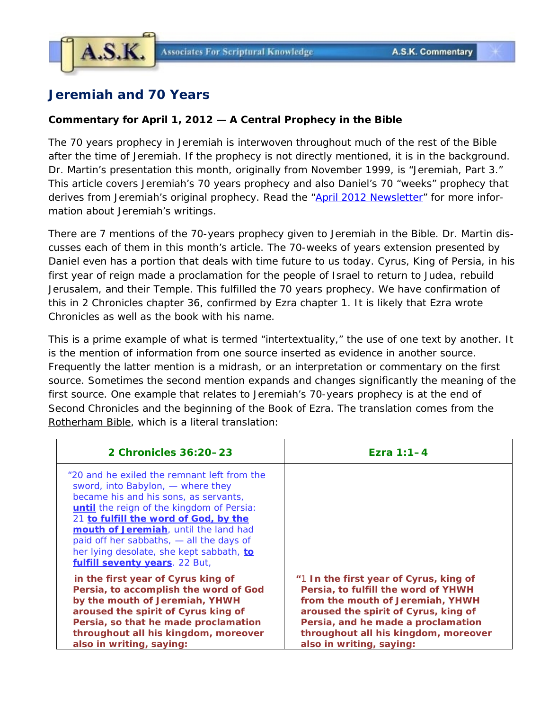

## **Jeremiah and 70 Years**

## **Commentary for April 1, 2012 — A Central Prophecy in the Bible**

The 70 years prophecy in Jeremiah is interwoven throughout much of the rest of the Bible after the time of Jeremiah. If the prophecy is not directly mentioned, it is in the background. Dr. Martin's presentation this month, originally from November 1999, is "Jeremiah, Part 3." This article covers Jeremiah's 70 years prophecy and also Daniel's 70 "weeks" prophecy that derives from Jeremiah's original prophecy. Read the ["April 2012 Newsletter"](http://www.askelm.com/newsletter/l201204.PDF) for more information about Jeremiah's writings.

There are 7 mentions of the 70-years prophecy given to Jeremiah in the Bible. Dr. Martin discusses each of them in this month's article. The 70-weeks of years extension presented by Daniel even has a portion that deals with time future to us today. Cyrus, King of Persia, in his first year of reign made a proclamation for the people of Israel to return to Judea, rebuild Jerusalem, and their Temple. This fulfilled the 70 years prophecy. We have confirmation of this in 2 Chronicles chapter 36, confirmed by Ezra chapter 1. It is likely that Ezra wrote Chronicles as well as the book with his name.

This is a prime example of what is termed "intertextuality," the use of one text by another. It is the mention of information from one source inserted as evidence in another source. Frequently the latter mention is a midrash, or an interpretation or commentary on the first source. Sometimes the second mention expands and changes significantly the meaning of the first source. One example that relates to Jeremiah's 70-years prophecy is at the end of Second Chronicles and the beginning of the Book of Ezra. The translation comes from the Rotherham Bible, which is a literal translation:

| 2 Chronicles 36:20-23                                                                                                                                                                                                                                                                                                                                                              | Ezra $1:1-4$                                                                                                                                                                                                                                                        |
|------------------------------------------------------------------------------------------------------------------------------------------------------------------------------------------------------------------------------------------------------------------------------------------------------------------------------------------------------------------------------------|---------------------------------------------------------------------------------------------------------------------------------------------------------------------------------------------------------------------------------------------------------------------|
| "20 and he exiled the remnant left from the<br>sword, into Babylon, — where they<br>became his and his sons, as servants,<br>until the reign of the kingdom of Persia:<br>21 to fulfill the word of God, by the<br>mouth of Jeremiah, until the land had<br>paid off her sabbaths, - all the days of<br>her lying desolate, she kept sabbath, to<br>fulfill seventy years. 22 But, |                                                                                                                                                                                                                                                                     |
| in the first year of Cyrus king of<br>Persia, to accomplish the word of God<br>by the mouth of Jeremiah, YHWH<br>aroused the spirit of Cyrus king of<br>Persia, so that he made proclamation<br>throughout all his kingdom, moreover<br>also in writing, saying:                                                                                                                   | "1 In the first year of Cyrus, king of<br>Persia, to fulfill the word of YHWH<br>from the mouth of Jeremiah, YHWH<br>aroused the spirit of Cyrus, king of<br>Persia, and he made a proclamation<br>throughout all his kingdom, moreover<br>also in writing, saying: |